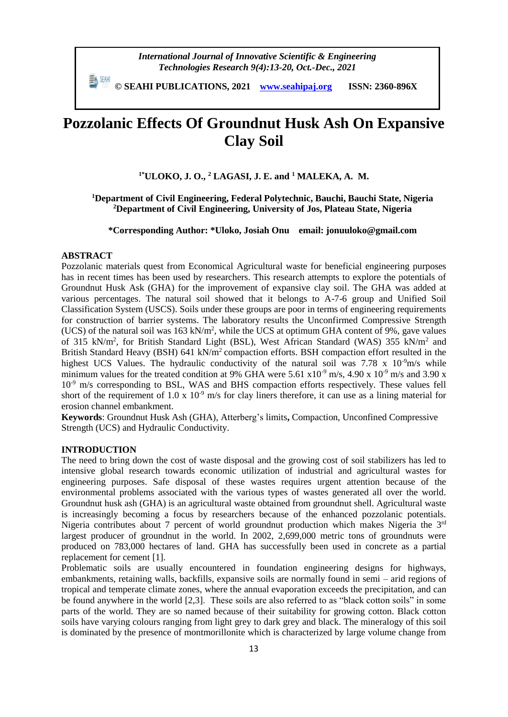*International Journal of Innovative Scientific & Engineering Technologies Research 9(4):13-20, Oct.-Dec., 2021*

 **© SEAHI PUBLICATIONS, 2021 [www.seahipaj.org](http://www.seahipaj.org/) ISSN: 2360-896X**

# **Pozzolanic Effects Of Groundnut Husk Ash On Expansive Clay Soil**

**1\*ULOKO, J. O., <sup>2</sup> LAGASI, J. E. and <sup>1</sup> MALEKA, A. M.**

## **<sup>1</sup>Department of Civil Engineering, Federal Polytechnic, Bauchi, Bauchi State, Nigeria <sup>2</sup>Department of Civil Engineering, University of Jos, Plateau State, Nigeria**

**\*Corresponding Author: \*Uloko, Josiah Onu email: jonuuloko@gmail.com**

## **ABSTRACT**

Pozzolanic materials quest from Economical Agricultural waste for beneficial engineering purposes has in recent times has been used by researchers. This research attempts to explore the potentials of Groundnut Husk Ask (GHA) for the improvement of expansive clay soil. The GHA was added at various percentages. The natural soil showed that it belongs to A-7-6 group and Unified Soil Classification System (USCS). Soils under these groups are poor in terms of engineering requirements for construction of barrier systems. The laboratory results the Unconfirmed Compressive Strength (UCS) of the natural soil was  $163 \text{ kN/m}^2$ , while the UCS at optimum GHA content of 9%, gave values of 315 kN/m<sup>2</sup>, for British Standard Light (BSL), West African Standard (WAS) 355 kN/m<sup>2</sup> and British Standard Heavy (BSH) 641 kN/ $m<sup>2</sup>$  compaction efforts. BSH compaction effort resulted in the highest UCS Values. The hydraulic conductivity of the natural soil was 7.78 x 10<sup>-9</sup>m/s while minimum values for the treated condition at 9% GHA were 5.61  $x10^{-9}$  m/s, 4.90 x 10<sup>-9</sup> m/s and 3.90 x  $10^{-9}$  m/s corresponding to BSL, WAS and BHS compaction efforts respectively. These values fell short of the requirement of 1.0 x  $10^{-9}$  m/s for clay liners therefore, it can use as a lining material for erosion channel embankment.

**Keywords**: Groundnut Husk Ash (GHA), Atterberg's limits**,** Compaction, Unconfined Compressive Strength (UCS) and Hydraulic Conductivity.

### **INTRODUCTION**

The need to bring down the cost of waste disposal and the growing cost of soil stabilizers has led to intensive global research towards economic utilization of industrial and agricultural wastes for engineering purposes. Safe disposal of these wastes requires urgent attention because of the environmental problems associated with the various types of wastes generated all over the world. Groundnut husk ash (GHA) is an agricultural waste obtained from groundnut shell. Agricultural waste is increasingly becoming a focus by researchers because of the enhanced pozzolanic potentials. Nigeria contributes about 7 percent of world groundnut production which makes Nigeria the 3rd largest producer of groundnut in the world. In 2002, 2,699,000 metric tons of groundnuts were produced on 783,000 hectares of land. GHA has successfully been used in concrete as a partial replacement for cement [1].

Problematic soils are usually encountered in foundation engineering designs for highways, embankments, retaining walls, backfills, expansive soils are normally found in semi – arid regions of tropical and temperate climate zones, where the annual evaporation exceeds the precipitation, and can be found anywhere in the world [2,3]. These soils are also referred to as "black cotton soils" in some parts of the world. They are so named because of their suitability for growing cotton. Black cotton soils have varying colours ranging from light grey to dark grey and black. The mineralogy of this soil is dominated by the presence of montmorillonite which is characterized by large volume change from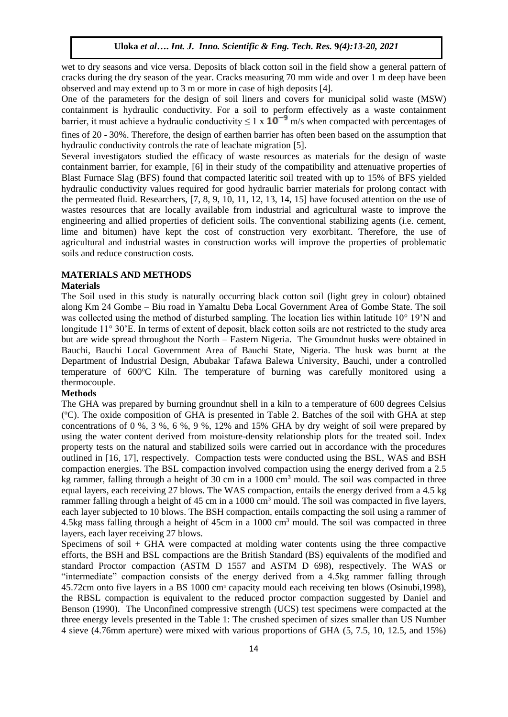wet to dry seasons and vice versa. Deposits of black cotton soil in the field show a general pattern of cracks during the dry season of the year. Cracks measuring 70 mm wide and over 1 m deep have been observed and may extend up to 3 m or more in case of high deposits [4].

One of the parameters for the design of soil liners and covers for municipal solid waste (MSW) containment is hydraulic conductivity. For a soil to perform effectively as a waste containment barrier, it must achieve a hydraulic conductivity  $\leq 1 \times 10^{-9}$  m/s when compacted with percentages of

fines of 20 - 30%. Therefore, the design of earthen barrier has often been based on the assumption that hydraulic conductivity controls the rate of leachate migration [5].

Several investigators studied the efficacy of waste resources as materials for the design of waste containment barrier, for example, [6] in their study of the compatibility and attenuative properties of Blast Furnace Slag (BFS) found that compacted lateritic soil treated with up to 15% of BFS yielded hydraulic conductivity values required for good hydraulic barrier materials for prolong contact with the permeated fluid. Researchers, [7, 8, 9, 10, 11, 12, 13, 14, 15] have focused attention on the use of wastes resources that are locally available from industrial and agricultural waste to improve the engineering and allied properties of deficient soils. The conventional stabilizing agents (i.e. cement, lime and bitumen) have kept the cost of construction very exorbitant. Therefore, the use of agricultural and industrial wastes in construction works will improve the properties of problematic soils and reduce construction costs.

## **MATERIALS AND METHODS**

#### **Materials**

The Soil used in this study is naturally occurring black cotton soil (light grey in colour) obtained along Km 24 Gombe – Biu road in Yamaltu Deba Local Government Area of Gombe State. The soil was collected using the method of disturbed sampling. The location lies within latitude 10° 19'N and longitude 11° 30'E. In terms of extent of deposit, black cotton soils are not restricted to the study area but are wide spread throughout the North – Eastern Nigeria. The Groundnut husks were obtained in Bauchi, Bauchi Local Government Area of Bauchi State, Nigeria. The husk was burnt at the Department of Industrial Design, Abubakar Tafawa Balewa University, Bauchi, under a controlled temperature of 600°C Kiln. The temperature of burning was carefully monitored using a thermocouple.

## **Methods**

The GHA was prepared by burning groundnut shell in a kiln to a temperature of 600 degrees Celsius (°C). The oxide composition of GHA is presented in Table 2. Batches of the soil with GHA at step concentrations of 0 %, 3 %, 6 %, 9 %, 12% and 15% GHA by dry weight of soil were prepared by using the water content derived from moisture-density relationship plots for the treated soil. Index property tests on the natural and stabilized soils were carried out in accordance with the procedures outlined in [16, 17], respectively. Compaction tests were conducted using the BSL, WAS and BSH compaction energies. The BSL compaction involved compaction using the energy derived from a 2.5 kg rammer, falling through a height of 30 cm in a 1000 cm<sup>3</sup> mould. The soil was compacted in three equal layers, each receiving 27 blows. The WAS compaction, entails the energy derived from a 4.5 kg rammer falling through a height of 45 cm in a 1000 cm<sup>3</sup> mould. The soil was compacted in five layers, each layer subjected to 10 blows. The BSH compaction, entails compacting the soil using a rammer of 4.5kg mass falling through a height of 45cm in a 1000 cm<sup>3</sup> mould. The soil was compacted in three layers, each layer receiving 27 blows.

Specimens of soil + GHA were compacted at molding water contents using the three compactive efforts, the BSH and BSL compactions are the British Standard (BS) equivalents of the modified and standard Proctor compaction (ASTM D 1557 and ASTM D 698), respectively. The WAS or "intermediate" compaction consists of the energy derived from a 4.5kg rammer falling through 45.72cm onto five layers in a BS 1000 cmᵌ capacity mould each receiving ten blows (Osinubi,1998), the RBSL compaction is equivalent to the reduced proctor compaction suggested by Daniel and Benson (1990). The Unconfined compressive strength (UCS) test specimens were compacted at the three energy levels presented in the Table 1: The crushed specimen of sizes smaller than US Number 4 sieve (4.76mm aperture) were mixed with various proportions of GHA (5, 7.5, 10, 12.5, and 15%)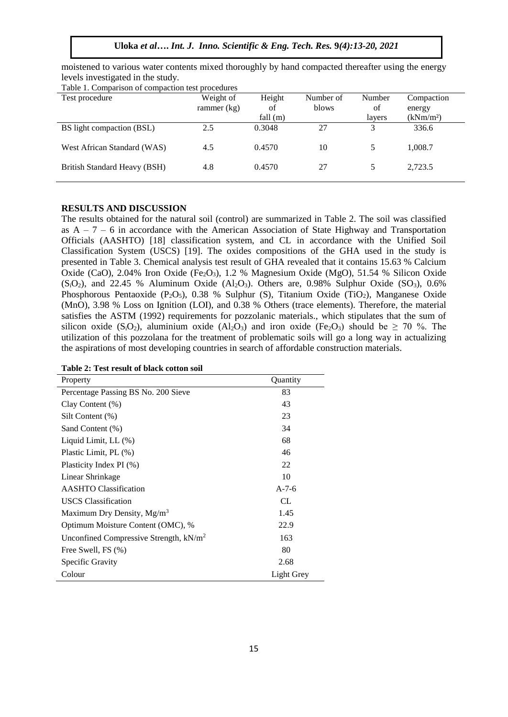**Uloka** *et al***….** *Int. J. Inno. Scientific & Eng. Tech. Res.* **9***(4):13-20, 2021*

moistened to various water contents mixed thoroughly by hand compacted thereafter using the energy levels investigated in the study.

| Table 1. Comparison of compaction test procedures |               |            |           |        |                       |  |  |  |
|---------------------------------------------------|---------------|------------|-----------|--------|-----------------------|--|--|--|
| Test procedure                                    | Weight of     | Height     | Number of | Number | Compaction            |  |  |  |
|                                                   | rammer $(kg)$ | of         | blows     | of     | energy                |  |  |  |
|                                                   |               | fall $(m)$ |           | layers | (kNm/m <sup>2</sup> ) |  |  |  |
| BS light compaction (BSL)                         | 2.5           | 0.3048     | 27        | 3      | 336.6                 |  |  |  |
| West African Standard (WAS)                       | 4.5           | 0.4570     | 10        |        | 1,008.7               |  |  |  |
| British Standard Heavy (BSH)                      | 4.8           | 0.4570     | 27        | 5      | 2,723.5               |  |  |  |

## **RESULTS AND DISCUSSION**

The results obtained for the natural soil (control) are summarized in Table 2. The soil was classified as  $A - 7 - 6$  in accordance with the American Association of State Highway and Transportation Officials (AASHTO) [18] classification system, and CL in accordance with the Unified Soil Classification System (USCS) [19]. The oxides compositions of the GHA used in the study is presented in Table 3. Chemical analysis test result of GHA revealed that it contains 15.63 % Calcium Oxide (CaO), 2.04% Iron Oxide (Fe<sub>2</sub>O<sub>3</sub>), 1.2 % Magnesium Oxide (MgO), 51.54 % Silicon Oxide  $(S<sub>i</sub>O<sub>2</sub>)$ , and 22.45 % Aluminum Oxide  $(A<sub>12</sub>O<sub>3</sub>)$ . Others are, 0.98% Sulphur Oxide  $(SO<sub>3</sub>)$ , 0.6% Phosphorous Pentaoxide (P<sub>2</sub>O<sub>5</sub>), 0.38 % Sulphur (S), Titanium Oxide (TiO<sub>2</sub>), Manganese Oxide (MnO), 3.98 % Loss on Ignition (LOI), and 0.38 % Others (trace elements). Therefore, the material satisfies the ASTM (1992) requirements for pozzolanic materials., which stipulates that the sum of silicon oxide (S<sub>i</sub>O<sub>2</sub>), aluminium oxide (Al<sub>2</sub>O<sub>3</sub>) and iron oxide (Fe<sub>2</sub>O<sub>3</sub>) should be  $\geq$  70 %. The utilization of this pozzolana for the treatment of problematic soils will go a long way in actualizing the aspirations of most developing countries in search of affordable construction materials.

| Property                                  | Quantity   |
|-------------------------------------------|------------|
| Percentage Passing BS No. 200 Sieve       | 83         |
| Clay Content $(\%)$                       | 43         |
| Silt Content (%)                          | 23         |
| Sand Content (%)                          | 34         |
| Liquid Limit, LL (%)                      | 68         |
| Plastic Limit, PL (%)                     | 46         |
| Plasticity Index PI (%)                   | 22         |
| Linear Shrinkage                          | 10         |
| <b>AASHTO Classification</b>              | $A-7-6$    |
| <b>USCS</b> Classification                | CL         |
| Maximum Dry Density, Mg/m <sup>3</sup>    | 1.45       |
| Optimum Moisture Content (OMC), %         | 22.9       |
| Unconfined Compressive Strength, $kN/m^2$ | 163        |
| Free Swell, FS (%)                        | 80         |
| Specific Gravity                          | 2.68       |
| Colour                                    | Light Grey |

**Table 2: Test result of black cotton soil**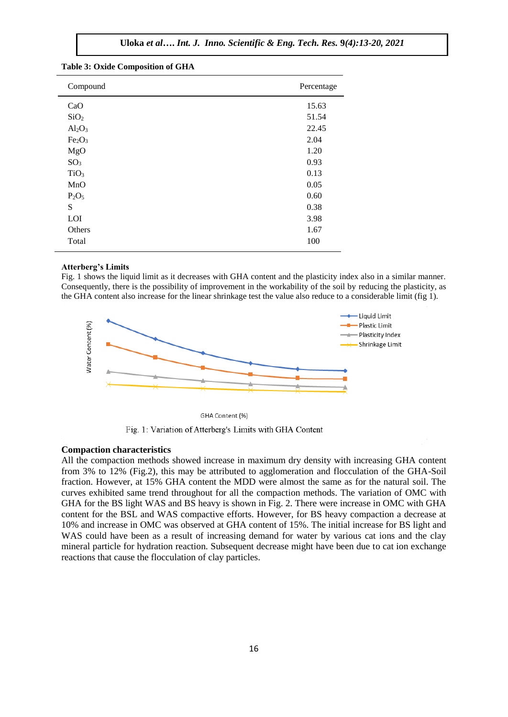# **Uloka** *et al***….** *Int. J. Inno. Scientific & Eng. Tech. Res.* **9***(4):13-20, 2021*

| Compound                       | Percentage |  |  |
|--------------------------------|------------|--|--|
| CaO                            | 15.63      |  |  |
| SiO <sub>2</sub>               | 51.54      |  |  |
| $Al_2O_3$                      | 22.45      |  |  |
| Fe <sub>2</sub> O <sub>3</sub> | 2.04       |  |  |
| MgO                            | 1.20       |  |  |
| SO <sub>3</sub>                | 0.93       |  |  |
| TiO <sub>3</sub>               | 0.13       |  |  |
| MnO                            | 0.05       |  |  |
| $P_2O_5$                       | 0.60       |  |  |
| S                              | 0.38       |  |  |
| LOI                            | 3.98       |  |  |
| Others                         | 1.67       |  |  |
| Total                          | 100        |  |  |
|                                |            |  |  |

#### **Table 3: Oxide Composition of GHA**

#### **Atterberg's Limits**

Fig. 1 shows the liquid limit as it decreases with GHA content and the plasticity index also in a similar manner. Consequently, there is the possibility of improvement in the workability of the soil by reducing the plasticity, as the GHA content also increase for the linear shrinkage test the value also reduce to a considerable limit (fig 1).



GHA Content (%)

Fig. 1: Variation of Atterberg's Limits with GHA Content

#### **Compaction characteristics**

All the compaction methods showed increase in maximum dry density with increasing GHA content from 3% to 12% (Fig.2), this may be attributed to agglomeration and flocculation of the GHA-Soil fraction. However, at 15% GHA content the MDD were almost the same as for the natural soil. The curves exhibited same trend throughout for all the compaction methods. The variation of OMC with GHA for the BS light WAS and BS heavy is shown in Fig. 2. There were increase in OMC with GHA content for the BSL and WAS compactive efforts. However, for BS heavy compaction a decrease at 10% and increase in OMC was observed at GHA content of 15%. The initial increase for BS light and WAS could have been as a result of increasing demand for water by various cat ions and the clay mineral particle for hydration reaction. Subsequent decrease might have been due to cat ion exchange reactions that cause the flocculation of clay particles.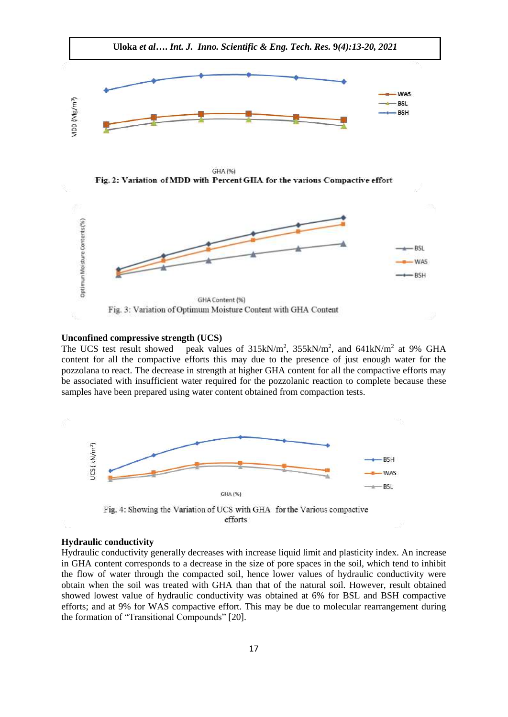

#### **Unconfined compressive strength (UCS)**

The UCS test result showed ,  $355kN/m^2$ , and  $641kN/m^2$  at 9% GHA content for all the compactive efforts this may due to the presence of just enough water for the pozzolana to react. The decrease in strength at higher GHA content for all the compactive efforts may be associated with insufficient water required for the pozzolanic reaction to complete because these samples have been prepared using water content obtained from compaction tests.



efforts

#### **Hydraulic conductivity**

Hydraulic conductivity generally decreases with increase liquid limit and plasticity index. An increase in GHA content corresponds to a decrease in the size of pore spaces in the soil, which tend to inhibit the flow of water through the compacted soil, hence lower values of hydraulic conductivity were obtain when the soil was treated with GHA than that of the natural soil. However, result obtained showed lowest value of hydraulic conductivity was obtained at 6% for BSL and BSH compactive efforts; and at 9% for WAS compactive effort. This may be due to molecular rearrangement during the formation of "Transitional Compounds" [20].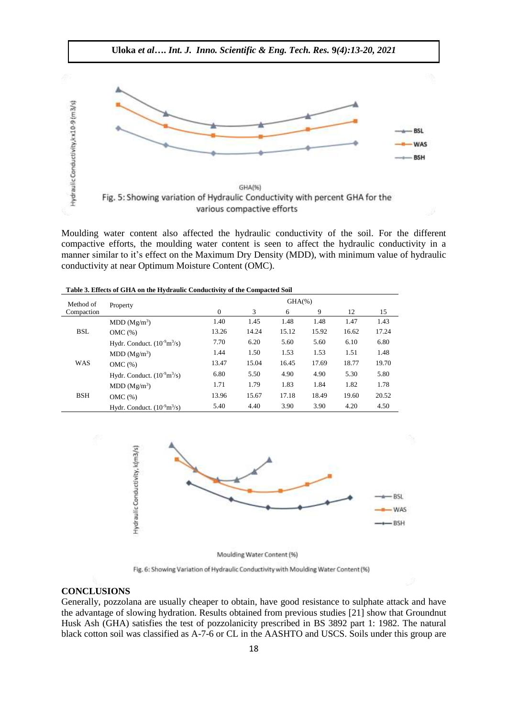

Moulding water content also affected the hydraulic conductivity of the soil. For the different compactive efforts, the moulding water content is seen to affect the hydraulic conductivity in a manner similar to it's effect on the Maximum Dry Density (MDD), with minimum value of hydraulic conductivity at near Optimum Moisture Content (OMC).

**Table 3. Effects of GHA on the Hydraulic Conductivity of the Compacted Soil**

| Method of  | Property                                       | $GHA(\%)$ |       |       |       |       |       |
|------------|------------------------------------------------|-----------|-------|-------|-------|-------|-------|
| Compaction |                                                | $\Omega$  | 3     | 6     | 9     | 12    | 15    |
| <b>BSL</b> | MDD (Mg/m <sup>3</sup> )                       | 1.40      | 1.45  | 1.48  | 1.48  | 1.47  | 1.43  |
|            | OMC(%)                                         | 13.26     | 14.24 | 15.12 | 15.92 | 16.62 | 17.24 |
|            | Hydr. Conduct. $(10^9 \text{m}^3/\text{s})$    | 7.70      | 6.20  | 5.60  | 5.60  | 6.10  | 6.80  |
| <b>WAS</b> | MDD (Mg/m <sup>3</sup> )                       | 1.44      | 1.50  | 1.53  | 1.53  | 1.51  | 1.48  |
|            | OMC(%)                                         | 13.47     | 15.04 | 16.45 | 17.69 | 18.77 | 19.70 |
|            | Hydr. Conduct. $(10^9 \text{m}^3/\text{s})$    | 6.80      | 5.50  | 4.90  | 4.90  | 5.30  | 5.80  |
| <b>BSH</b> | MDD (Mg/m <sup>3</sup> )                       | 1.71      | 1.79  | 1.83  | 1.84  | 1.82  | 1.78  |
|            | OMC(%)                                         | 13.96     | 15.67 | 17.18 | 18.49 | 19.60 | 20.52 |
|            | Hydr. Conduct. $(10^{-9} \text{m}^3/\text{s})$ | 5.40      | 4.40  | 3.90  | 3.90  | 4.20  | 4.50  |



Moulding Water Content (%)

Fig. 6: Showing Variation of Hydraulic Conductivity with Moulding Water Content (%)

## **CONCLUSIONS**

Generally, pozzolana are usually cheaper to obtain, have good resistance to sulphate attack and have the advantage of slowing hydration. Results obtained from previous studies [21] show that Groundnut Husk Ash (GHA) satisfies the test of pozzolanicity prescribed in BS 3892 part 1: 1982. The natural black cotton soil was classified as A-7-6 or CL in the AASHTO and USCS. Soils under this group are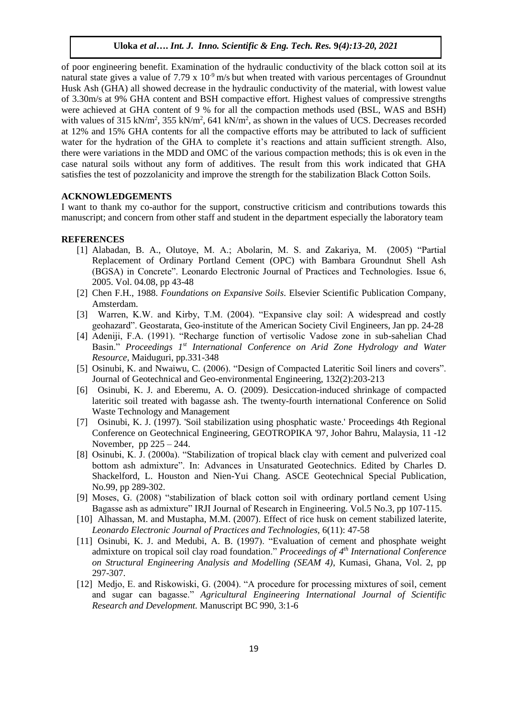of poor engineering benefit. Examination of the hydraulic conductivity of the black cotton soil at its natural state gives a value of 7.79 x  $10<sup>-9</sup>$  m/s but when treated with various percentages of Groundnut Husk Ash (GHA) all showed decrease in the hydraulic conductivity of the material, with lowest value of 3.30m/s at 9% GHA content and BSH compactive effort. Highest values of compressive strengths were achieved at GHA content of 9 % for all the compaction methods used (BSL, WAS and BSH) with values of 315 kN/m<sup>2</sup>, 355 kN/m<sup>2</sup>, 641 kN/m<sup>2</sup>, as shown in the values of UCS. Decreases recorded at 12% and 15% GHA contents for all the compactive efforts may be attributed to lack of sufficient water for the hydration of the GHA to complete it's reactions and attain sufficient strength. Also, there were variations in the MDD and OMC of the various compaction methods; this is ok even in the case natural soils without any form of additives. The result from this work indicated that GHA satisfies the test of pozzolanicity and improve the strength for the stabilization Black Cotton Soils.

## **ACKNOWLEDGEMENTS**

I want to thank my co-author for the support, constructive criticism and contributions towards this manuscript; and concern from other staff and student in the department especially the laboratory team

## **REFERENCES**

- [1] Alabadan, B. A., Olutoye, M. A.; Abolarin, M. S. and Zakariya, M. (2005) "Partial Replacement of Ordinary Portland Cement (OPC) with Bambara Groundnut Shell Ash (BGSA) in Concrete". Leonardo Electronic Journal of Practices and Technologies. Issue 6, 2005. Vol. 04.08, pp 43-48
- [2] Chen F.H., 1988. *Foundations on Expansive Soils*. Elsevier Scientific Publication Company, Amsterdam.
- [3] Warren, K.W. and Kirby, T.M. (2004). "Expansive clay soil: A widespread and costly geohazard". Geostarata, Geo-institute of the American Society Civil Engineers, Jan pp. 24-28
- [4] Adeniji, F.A. (1991). "Recharge function of vertisolic Vadose zone in sub-sahelian Chad Basin." *Proceedings 1st International Conference on Arid Zone Hydrology and Water Resource,* Maiduguri, pp.331-348
- [5] Osinubi, K. and Nwaiwu, C. (2006). "Design of Compacted Lateritic Soil liners and covers". Journal of Geotechnical and Geo-environmental Engineering, 132(2):203-213
- [6] Osinubi, K. J. and Eberemu, A. O. (2009). Desiccation-induced shrinkage of compacted lateritic soil treated with bagasse ash. The twenty-fourth international Conference on Solid Waste Technology and Management
- [7] Osinubi, K. J. (1997). 'Soil stabilization using phosphatic waste.' Proceedings 4th Regional Conference on Geotechnical Engineering, GEOTROPIKA '97, Johor Bahru, Malaysia, 11 -12 November, pp  $225 - 244$ .
- [8] Osinubi, K. J. (2000a). "Stabilization of tropical black clay with cement and pulverized coal bottom ash admixture". In: Advances in Unsaturated Geotechnics. Edited by Charles D. Shackelford, L. Houston and Nien-Yui Chang. ASCE Geotechnical Special Publication, No.99, pp 289-302.
- [9] Moses, G. (2008) "stabilization of black cotton soil with ordinary portland cement Using Bagasse ash as admixture" IRJI Journal of Research in Engineering. Vol.5 No.3, pp 107-115.
- [10] Alhassan, M. and Mustapha, M.M. (2007). Effect of rice husk on cement stabilized laterite, *Leonardo Electronic Journal of Practices and Technologies,* 6(11): 47-58
- [11] Osinubi, K. J. and Medubi, A. B. (1997). "Evaluation of cement and phosphate weight admixture on tropical soil clay road foundation." *Proceedings of 4th International Conference on Structural Engineering Analysis and Modelling (SEAM 4)*, Kumasi, Ghana, Vol. 2, pp 297-307.
- [12] Medjo, E. and Riskowiski, G. (2004). "A procedure for processing mixtures of soil, cement and sugar can bagasse." *Agricultural Engineering International Journal of Scientific Research and Development.* Manuscript BC 990, 3:1-6